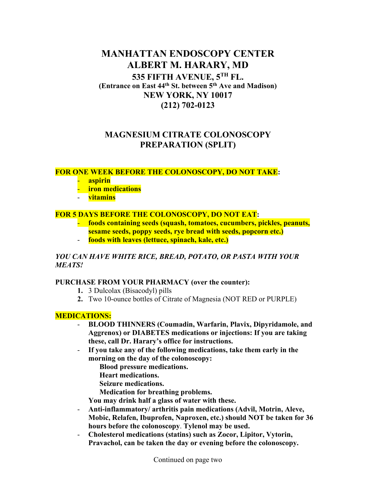# **MANHATTAN ENDOSCOPY CENTER ALBERT M. HARARY, MD 535 FIFTH AVENUE, 5TH FL. (Entrance on East 44th St. between 5th Ave and Madison) NEW YORK, NY 10017 (212) 702-0123**

## **MAGNESIUM CITRATE COLONOSCOPY PREPARATION (SPLIT)**

#### **FOR ONE WEEK BEFORE THE COLONOSCOPY, DO NOT TAKE:**

- **aspirin**
- **iron medications**
- **vitamins**

#### **FOR 5 DAYS BEFORE THE COLONOSCOPY, DO NOT EAT:**

- **foods containing seeds (squash, tomatoes, cucumbers, pickles, peanuts, sesame seeds, poppy seeds, rye bread with seeds, popcorn etc.)**
- **foods with leaves (lettuce, spinach, kale, etc.)**

#### *YOU CAN HAVE WHITE RICE, BREAD, POTATO, OR PASTA WITH YOUR MEATS!*

#### **PURCHASE FROM YOUR PHARMACY (over the counter):**

- **1.** 3 Dulcolax (Bisacodyl) pills
- **2.** Two 10-ounce bottles of Citrate of Magnesia (NOT RED or PURPLE)

#### **MEDICATIONS:**

- **BLOOD THINNERS (Coumadin, Warfarin, Plavix, Dipyridamole, and Aggrenox) or DIABETES medications or injections: If you are taking these, call Dr. Harary's office for instructions.**
- **If you take any of the following medications, take them early in the morning on the day of the colonoscopy:**
	- **Blood pressure medications.**
	- **Heart medications.**
	- **Seizure medications.**
	- **Medication for breathing problems.**
	- **You may drink half a glass of water with these.**
- **Anti-inflammatory/ arthritis pain medications (Advil, Motrin, Aleve, Mobic, Relafen, Ibuprofen, Naproxen, etc.) should NOT be taken for 36 hours before the colonoscopy**. **Tylenol may be used.**
- **Cholesterol medications (statins) such as Zocor, Lipitor, Vytorin, Pravachol, can be taken the day or evening before the colonoscopy.**